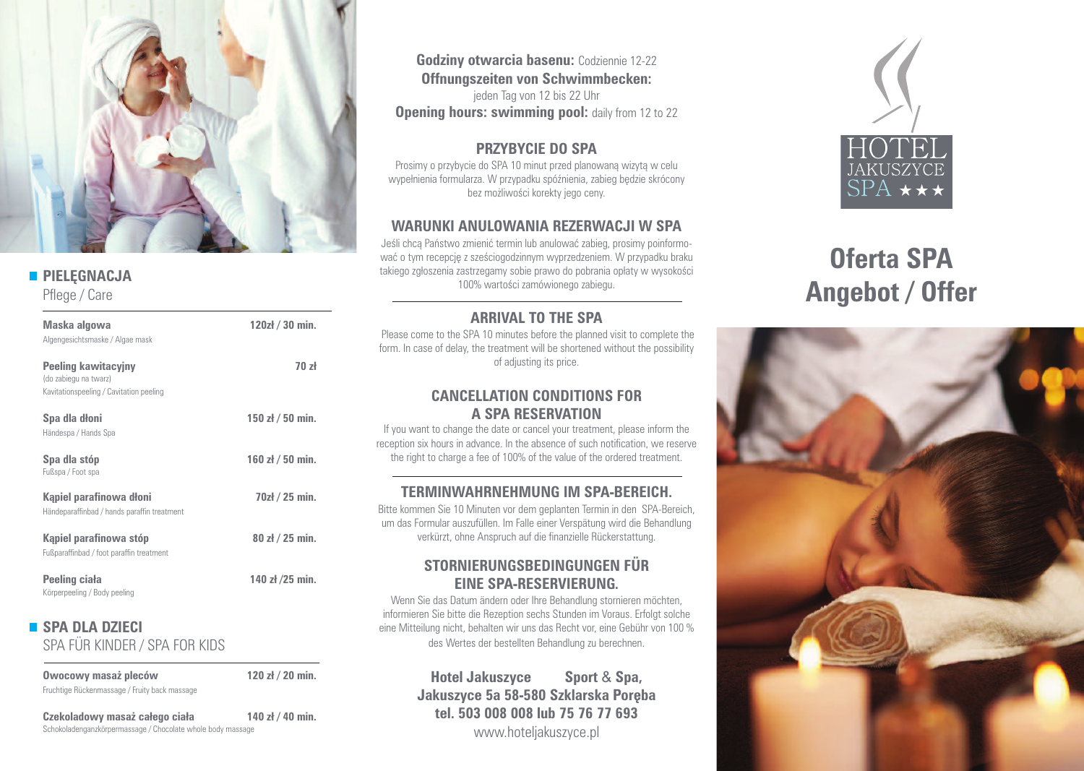

# **PIELEGNACJA**

Pflege / Care

| Maska algowa<br>Algengesichtsmaske / Algae mask                                                | 120zł / 30 min.  |
|------------------------------------------------------------------------------------------------|------------------|
| <b>Peeling kawitacyjny</b><br>(do zabiegu na twarz)<br>Kavitationspeeling / Cavitation peeling | 70z              |
| Spa dla dłoni<br>Händespa / Hands Spa                                                          | 150 $zh/50$ min. |
| Spa dla stóp<br>Fußspa / Foot spa                                                              | 160 $zh/50$ min. |
| Kąpiel parafinowa dłoni<br>Händeparaffinbad / hands paraffin treatment                         | 70zł / 25 min.   |
| Kapiel parafinowa stóp<br>Fußparaffinbad / foot paraffin treatment                             | 80 zł / 25 min.  |
| Peeling ciała<br>Körperpeeling / Body peeling                                                  | 140 zł /25 min.  |

# **SPA DLA DZIECI**

SPA FÜR KINDER / SPA FOR KIDS

| Owocowy masaż pleców                          | 120 $zh/20$ min. |
|-----------------------------------------------|------------------|
| Fruchtige Rückenmassage / Fruity back massage |                  |

**Czekoladowy masa˝ całego ciała 140 zł / 40 min.** Schokoladenganzkörpermassage / Chocolate whole body massage

**Godziny otwarcia basenu:** Codziennie 12-22 **Offnungszeiten von Schwimmbecken:**

jeden Tag von 12 bis 22 Uhr **Opening hours: swimming pool:** daily from 12 to 22

#### **PRZYBYCIE DO SPA**

Prosimy o przybycie do SPA 10 minut przed planowaną wizytą w celu wypełnienia formularza. W przypadku spóźnienia, zabieg bedzie skrócony bez możliwości korekty jego ceny.

### **WARUNKI ANULOWANIA REZERWACJI W SPA**

Jeśli chca Państwo zmienić termin lub anulować zabieg, prosimy poinformować o tym recepcję z sześciogodzinnym wyprzedzeniem. W przypadku braku takiego zgłoszenia zastrzegamy sobie prawo do pobrania opłaty w wysokości 100% wartości zamówionego zabiegu.

# **ARRIVAL TO THE SPA**

Please come to the SPA 10 minutes before the planned visit to complete the form. In case of delay, the treatment will be shortened without the possibility of adjusting its price.

#### **CANCELLATION CONDITIONS FOR A SPA RESERVATION**

If you want to change the date or cancel your treatment, please inform the reception six hours in advance. In the absence of such notification, we reserve the right to charge a fee of 100% of the value of the ordered treatment.

# **TERMINWAHRNEHMUNG IM SPA-BEREICH.**

Bitte kommen Sie 10 Minuten vor dem geplanten Termin in den SPA-Bereich, um das Formular auszufüllen. Im Falle einer Verspätung wird die Behandlung verkürzt, ohne Anspruch auf die finanzielle Rückerstattung.

# **STORNIERUNGSBEDINGUNGEN FÜR EINE SPA-RESERVIERUNG.**

Wenn Sie das Datum ändern oder Ihre Behandlung stornieren möchten, informieren Sie bitte die Rezeption sechs Stunden im Voraus. Erfolgt solche eine Mitteilung nicht, behalten wir uns das Recht vor, eine Gebühr von 100 % des Wertes der bestellten Behandlung zu berechnen.

> **Hotel Jakuszyce Sport** & **Spa, Jakuszyce 5a 58-580 Szklarska Poreba tel. 503 008 008 lub 75 76 77 693** www.hoteljakuszyce.pl



# **Oferta SPA Angebot / Offer**